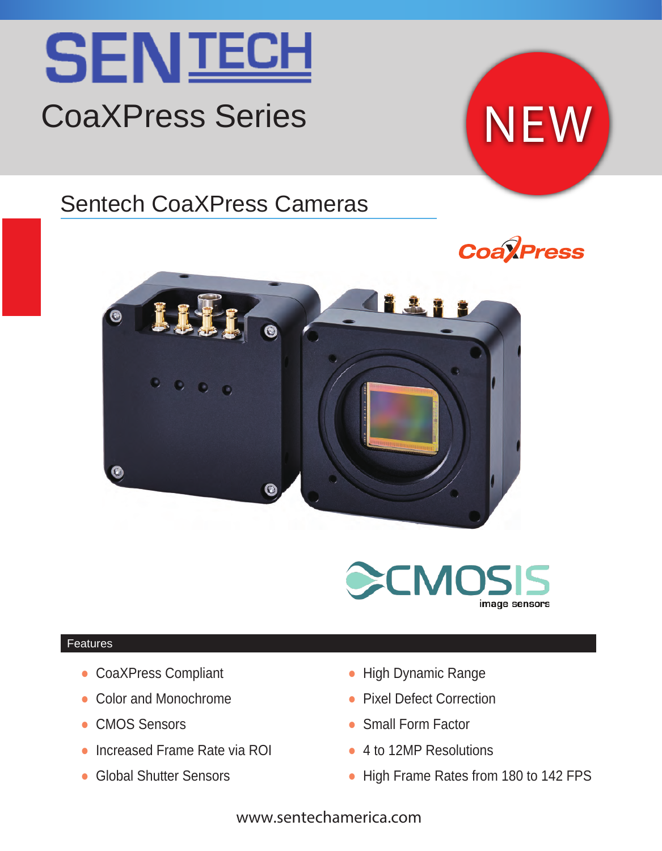

## CoaXPress Series

# Sentech CoaXPress Cameras









#### Features

- CoaXPress Compliant
- Color and Monochrome
- CMOS Sensors
- Increased Frame Rate via ROI
- Global Shutter Sensors
- High Dynamic Range
- Pixel Defect Correction
- Small Form Factor
- 4 to 12MP Resolutions
- High Frame Rates from 180 to 142 FPS